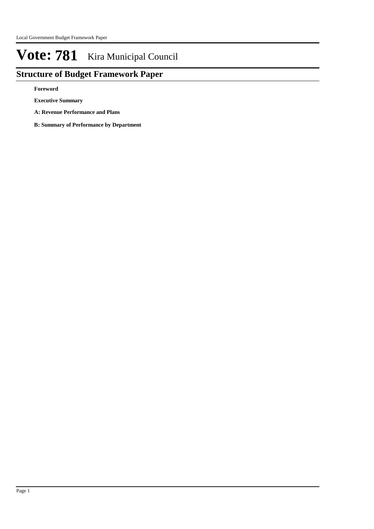# **Structure of Budget Framework Paper**

**Foreword**

**Executive Summary**

- **A: Revenue Performance and Plans**
- **B: Summary of Performance by Department**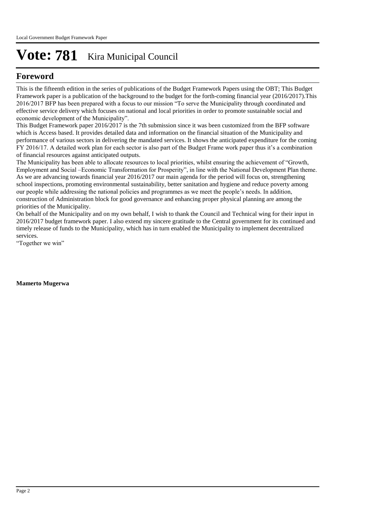# **Foreword**

This is the fifteenth edition in the series of publications of the Budget Framework Papers using the OBT; This Budget Framework paper is a publication of the background to the budget for the forth-coming financial year (2016/2017).This 2016/2017 BFP has been prepared with a focus to our mission "To serve the Municipality through coordinated and effective service delivery which focuses on national and local priorities in order to promote sustainable social and economic development of the Municipality".

This Budget Framework paper 2016/2017 is the 7th submission since it was been customized from the BFP software which is Access based. It provides detailed data and information on the financial situation of the Municipality and performance of various sectors in delivering the mandated services. It shows the anticipated expenditure for the coming FY 2016/17. A detailed work plan for each sector is also part of the Budget Frame work paper thus it's a combination of financial resources against anticipated outputs.

The Municipality has been able to allocate resources to local priorities, whilst ensuring the achievement of "Growth, Employment and Social –Economic Transformation for Prosperity", in line with the National Development Plan theme. As we are advancing towards financial year 2016/2017 our main agenda for the period will focus on, strengthening school inspections, promoting environmental sustainability, better sanitation and hygiene and reduce poverty among our people while addressing the national policies and programmes as we meet the people's needs. In addition, construction of Administration block for good governance and enhancing proper physical planning are among the priorities of the Municipality.

On behalf of the Municipality and on my own behalf, I wish to thank the Council and Technical wing for their input in 2016/2017 budget framework paper. I also extend my sincere gratitude to the Central government for its continued and timely release of funds to the Municipality, which has in turn enabled the Municipality to implement decentralized services.

"Together we win"

**Mamerto Mugerwa**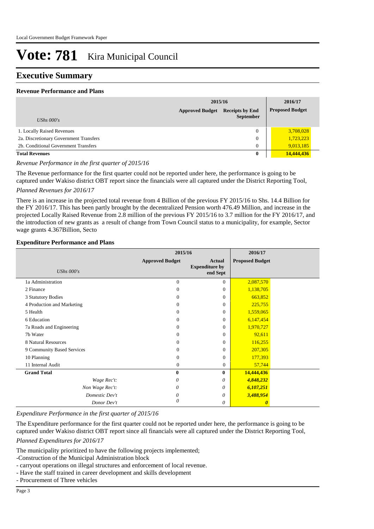## **Executive Summary**

#### **Revenue Performance and Plans**

|                                        | 2015/16                |                                            |  | 2016/17                |
|----------------------------------------|------------------------|--------------------------------------------|--|------------------------|
| UShs $000's$                           | <b>Approved Budget</b> | <b>Receipts by End</b><br><b>September</b> |  | <b>Proposed Budget</b> |
| 1. Locally Raised Revenues             |                        | $\mathbf{0}$                               |  | 3,708,028              |
| 2a. Discretionary Government Transfers |                        | $\mathbf{0}$                               |  | 1,723,223              |
| 2b. Conditional Government Transfers   |                        | $\mathbf{0}$                               |  | 9,013,185              |
| <b>Total Revenues</b>                  |                        | $\bf{0}$                                   |  | 14,444,436             |

#### *Revenue Performance in the first quarter of 2015/16*

The Revenue performance for the first quarter could not be reported under here, the performance is going to be captured under Wakiso district OBT report since the financials were all captured under the District Reporting Tool,

#### *Planned Revenues for 2016/17*

There is an increase in the projected total revenue from 4 Billion of the previous FY 2015/16 to Shs. 14.4 Billion for the FY 2016/17. This has been partly brought by the decentralized Pension worth 476.49 Million, and increase in the projected Locally Raised Revenue from 2.8 million of the previous FY 2015/16 to 3.7 million for the FY 2016/17, and the introduction of new grants as a result of change from Town Council status to a municipality, for example, Sector wage grants 4.367Billion, Secto

#### **Expenditure Performance and Plans**

|                            | 2015/16                |                                                    | 2016/17                |  |
|----------------------------|------------------------|----------------------------------------------------|------------------------|--|
| <b>UShs 000's</b>          | <b>Approved Budget</b> | <b>Actual</b><br><b>Expenditure by</b><br>end Sept | <b>Proposed Budget</b> |  |
| 1a Administration          | $\mathbf{0}$           | $\Omega$                                           | 2,087,570              |  |
| 2 Finance                  | $\Omega$               | $\Omega$                                           | 1,138,705              |  |
| 3 Statutory Bodies         | $\Omega$               | $\Omega$                                           | 663,852                |  |
| 4 Production and Marketing | $\Omega$               | $\Omega$                                           | 225,755                |  |
| 5 Health                   | $\Omega$               | 0                                                  | 1,559,065              |  |
| 6 Education                | $\Omega$               | 0                                                  | 6,147,454              |  |
| 7a Roads and Engineering   | $\Omega$               | $\Omega$                                           | 1,970,727              |  |
| 7b Water                   | $\Omega$               | 0                                                  | 92,611                 |  |
| 8 Natural Resources        | $\Omega$               | $\Omega$                                           | 116,255                |  |
| 9 Community Based Services | $\Omega$               | 0                                                  | 207,305                |  |
| 10 Planning                | $\Omega$               | $\Omega$                                           | 177,393                |  |
| 11 Internal Audit          | $\mathbf{0}$           | $\Omega$                                           | 57,744                 |  |
| <b>Grand Total</b>         | $\mathbf{0}$           | $\bf{0}$                                           | 14,444,436             |  |
| Wage Rec't:                | 0                      | 0                                                  | 4,848,232              |  |
| Non Wage Rec't:            | 0                      | 0                                                  | 6,107,251              |  |
| Domestic Dev't             | 0                      | 0                                                  | 3,488,954              |  |
| Donor Dev't                | 0                      | 0                                                  | 0                      |  |

*Expenditure Performance in the first quarter of 2015/16*

The Expenditure performance for the first quarter could not be reported under here, the performance is going to be captured under Wakiso district OBT report since all financials were all captured under the District Reporting Tool,

*Planned Expenditures for 2016/17*

The municipality prioritized to have the following projects implemented;

- -Construction of the Municipal Administration block
- carryout operations on illegal structures and enforcement of local revenue.
- Have the staff trained in career development and skills development
- Procurement of Three vehicles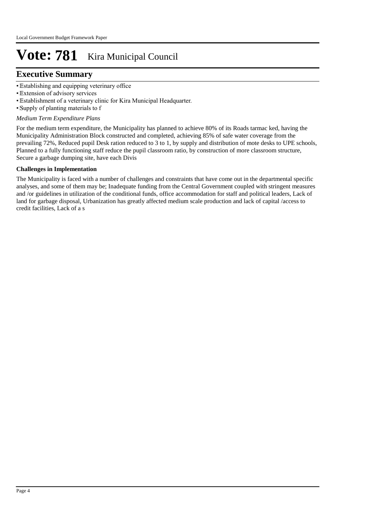# **Executive Summary**

- • Establishing and equipping veterinary office
- • Extension of advisory services
- • Establishment of a veterinary clinic for Kira Municipal Headquarter.
- Supply of planting materials to f

#### *Medium Term Expenditure Plans*

For the medium term expenditure, the Municipality has planned to achieve 80% of its Roads tarmac ked, having the Municipality Administration Block constructed and completed, achieving 85% of safe water coverage from the prevailing 72%, Reduced pupil Desk ration reduced to 3 to 1, by supply and distribution of mote desks to UPE schools, Planned to a fully functioning staff reduce the pupil classroom ratio, by construction of more classroom structure, Secure a garbage dumping site, have each Divis

#### **Challenges in Implementation**

The Municipality is faced with a number of challenges and constraints that have come out in the departmental specific analyses, and some of them may be; Inadequate funding from the Central Government coupled with stringent measures and /or guidelines in utilization of the conditional funds, office accommodation for staff and political leaders, Lack of land for garbage disposal, Urbanization has greatly affected medium scale production and lack of capital /access to credit facilities, Lack of a s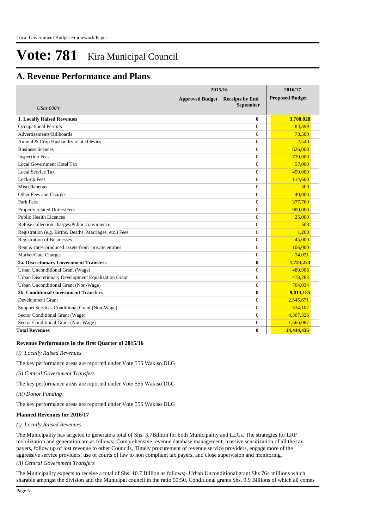# **A. Revenue Performance and Plans**

|                                                          | 2015/16                | 2016/17                                    |                        |
|----------------------------------------------------------|------------------------|--------------------------------------------|------------------------|
| UShs $000's$                                             | <b>Approved Budget</b> | <b>Receipts by End</b><br><b>September</b> | <b>Proposed Budget</b> |
| <b>1. Locally Raised Revenues</b>                        |                        | $\bf{0}$                                   | 3,708,028              |
| <b>Occupational Permits</b>                              |                        | $\Omega$                                   | 84.399                 |
| Advertisements/Billboards                                |                        | $\theta$                                   | 73,500                 |
| Animal & Crop Husbandry related levies                   |                        | $\theta$                                   | 2,540                  |
| <b>Business licences</b>                                 |                        | $\theta$                                   | 626,000                |
| <b>Inspection Fees</b>                                   |                        | $\theta$                                   | 730,000                |
| Local Government Hotel Tax                               |                        | $\overline{0}$                             | 57,000                 |
| Local Service Tax                                        |                        | $\theta$                                   | 450,000                |
| Lock-up Fees                                             |                        | $\theta$                                   | 114,600                |
| Miscellaneous                                            |                        | $\theta$                                   | 500                    |
| Other Fees and Charges                                   |                        | $\overline{0}$                             | 40.000                 |
| Park Fees                                                |                        | $\theta$                                   | 377,760                |
| Property related Duties/Fees                             |                        | $\theta$                                   | 900,000                |
| <b>Public Health Licences</b>                            |                        | $\overline{0}$                             | 25,000                 |
| Refuse collection charges/Public convinience             |                        | $\theta$                                   | 508                    |
| Registration (e.g. Births, Deaths, Marriages, etc.) Fees |                        | $\overline{0}$                             | 1.200                  |
| <b>Registration of Businesses</b>                        |                        | $\theta$                                   | 45,000                 |
| Rent & rates-produced assets-from private entities       |                        | $\overline{0}$                             | 106,000                |
| Market/Gate Charges                                      |                        | $\theta$                                   | 74.021                 |
| 2a. Discretionary Government Transfers                   |                        | $\bf{0}$                                   | 1,723,223              |
| Urban Unconditional Grant (Wage)                         |                        | $\theta$                                   | 480,906                |
| Urban Discretionary Development Equalization Grant       |                        | $\Omega$                                   | 478,283                |
| Urban Unconditional Grant (Non-Wage)                     |                        | $\theta$                                   | 764,034                |
| 2b. Conditional Government Transfers                     |                        | $\bf{0}$                                   | 9,013,185              |
| Development Grant                                        |                        | $\theta$                                   | 2,545,671              |
| Support Services Conditional Grant (Non-Wage)            |                        | $\theta$                                   | 534,102                |
| Sector Conditional Grant (Wage)                          |                        | $\overline{0}$                             | 4,367,326              |
| Sector Conditional Grant (Non-Wage)                      |                        | $\theta$                                   | 1,566,087              |
| <b>Total Revenues</b>                                    |                        | $\mathbf{0}$                               | 14,444,436             |

#### **Revenue Performance in the first Quarter of 2015/16**

*(i) Locally Raised Revenues* 

The key performance areas are reported under Vote 555 Wakiso DLG

*(ii) Central Government Transfers*

The key performance areas are reported under Vote 555 Wakiso DLG

*(iii) Donor Funding*

The key performance areas are reported under Vote 555 Wakiso DLG

#### **Planned Revenues for 2016/17**

#### *(i) Locally Raised Revenues*

The Municipality has targeted to generate a total of Shs. 3.7Billion for both Municipality and LLGs. The strategies for LRF mobilization and generation are as follows;-Comprehensive revenue database management, massive sensitization of all the tax payers, follow up of lost revenue to other Councils, Timely procurement of revenue service providers, engage more of the aggressive service providers, use of courts of law to non compliant tax payers, and close supervision and monitoring.

*(ii) Central Government Transfers*

The Municipality expects to receive a total of Shs. 10.7 Billion as follows;- Urban Unconditional grant Shs 764 millions which sharable amongst the division and the Municipal council in the ratio 50:50, Conditional grants Shs. 9.9 Billions of which all comes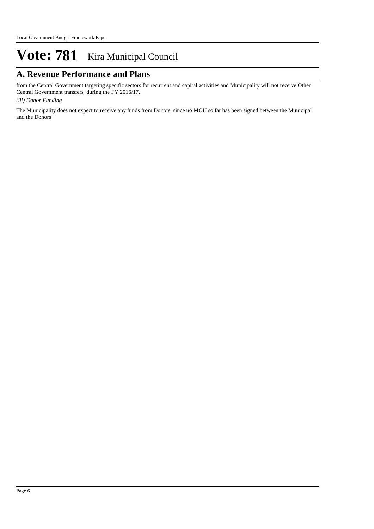# **A. Revenue Performance and Plans**

from the Central Government targeting specific sectors for recurrent and capital activities and Municipality will not receive Other Central Government transfers during the FY 2016/17.

*(iii) Donor Funding*

The Municipality does not expect to receive any funds from Donors, since no MOU so far has been signed between the Municipal and the Donors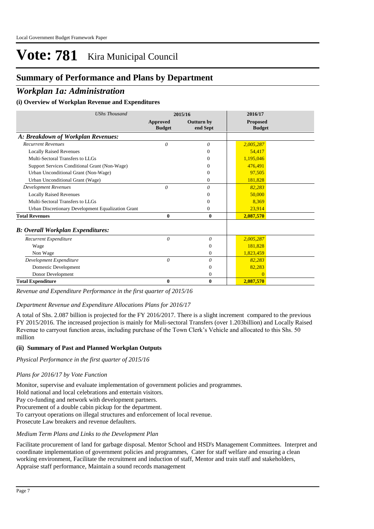# **Summary of Performance and Plans by Department**

## *Workplan 1a: Administration*

#### **(i) Overview of Workplan Revenue and Expenditures**

| <b>UShs Thousand</b>                               | 2015/16                          |                               | 2016/17                          |  |
|----------------------------------------------------|----------------------------------|-------------------------------|----------------------------------|--|
|                                                    | <b>Approved</b><br><b>Budget</b> | <b>Outturn by</b><br>end Sept | <b>Proposed</b><br><b>Budget</b> |  |
| A: Breakdown of Workplan Revenues:                 |                                  |                               |                                  |  |
| <b>Recurrent Revenues</b>                          | $\theta$                         | 0                             | 2,005,287                        |  |
| <b>Locally Raised Revenues</b>                     |                                  | 0                             | 54,417                           |  |
| Multi-Sectoral Transfers to LLGs                   |                                  | 0                             | 1,195,046                        |  |
| Support Services Conditional Grant (Non-Wage)      |                                  | 0                             | 476,491                          |  |
| Urban Unconditional Grant (Non-Wage)               |                                  | 0                             | 97,505                           |  |
| Urban Unconditional Grant (Wage)                   |                                  | $\mathbf{0}$                  | 181,828                          |  |
| <b>Development Revenues</b>                        | $\theta$                         | 0                             | 82,283                           |  |
| <b>Locally Raised Revenues</b>                     |                                  | 0                             | 50,000                           |  |
| Multi-Sectoral Transfers to LLGs                   |                                  | 0                             | 8,369                            |  |
| Urban Discretionary Development Equalization Grant |                                  | $\mathbf{0}$                  | 23,914                           |  |
| <b>Total Revenues</b>                              | 0                                | $\bf{0}$                      | 2,087,570                        |  |
| <b>B: Overall Workplan Expenditures:</b>           |                                  |                               |                                  |  |
| Recurrent Expenditure                              | 0                                | 0                             | 2,005,287                        |  |
| Wage                                               |                                  | $\Omega$                      | 181.828                          |  |
| Non Wage                                           |                                  | $\Omega$                      | 1,823,459                        |  |
| Development Expenditure                            | $\theta$                         | $\theta$                      | 82.283                           |  |
| Domestic Development                               |                                  | $\Omega$                      | 82,283                           |  |
| Donor Development                                  |                                  | $\mathbf{0}$                  | $\Omega$                         |  |
| <b>Total Expenditure</b>                           | 0                                | $\bf{0}$                      | 2,087,570                        |  |

*Revenue and Expenditure Performance in the first quarter of 2015/16*

#### *Department Revenue and Expenditure Allocations Plans for 2016/17*

A total of Shs. 2.087 billion is projected for the FY 2016/2017. There is a slight increment compared to the previous FY 2015/2016. The increased projection is mainly for Muli-sectoral Transfers (over 1.203billion) and Locally Raised Revenue to carryout function areas, including purchase of the Town Clerk's Vehicle and allocated to this Shs. 50 million

#### **(ii) Summary of Past and Planned Workplan Outputs**

*Physical Performance in the first quarter of 2015/16*

#### *Plans for 2016/17 by Vote Function*

Monitor, supervise and evaluate implementation of government policies and programmes.

Hold national and local celebrations and entertain visitors.

Pay co-funding and network with development partners.

Procurement of a double cabin pickup for the department.

To carryout operations on illegal structures and enforcement of local revenue.

Prosecute Law breakers and revenue defaulters.

#### *Medium Term Plans and Links to the Development Plan*

Facilitate procurement of land for garbage disposal. Mentor School and HSD's Management Committees. Interpret and coordinate implementation of government policies and programmes, Cater for staff welfare and ensuring a clean working environment, Facilitate the recruitment and induction of staff, Mentor and train staff and stakeholders, Appraise staff performance, Maintain a sound records management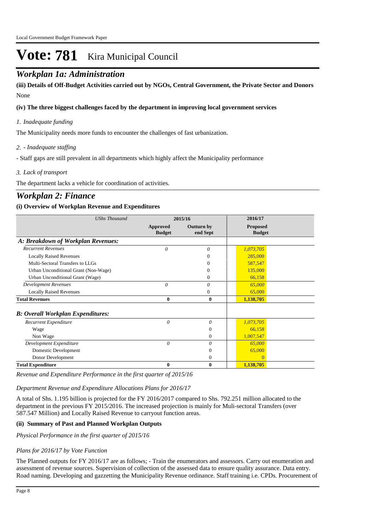# *Workplan 1a: Administration*

None **(iii) Details of Off-Budget Activities carried out by NGOs, Central Government, the Private Sector and Donors** 

#### **(iv) The three biggest challenges faced by the department in improving local government services**

#### *Inadequate funding 1.*

The Municipality needs more funds to encounter the challenges of fast urbanization.

#### *- Inadequate staffing 2.*

- Staff gaps are still prevalent in all departments which highly affect the Municipality performance

#### *Lack of transport 3.*

The department lacks a vehicle for coordination of activities.

## *Workplan 2: Finance*

#### **(i) Overview of Workplan Revenue and Expenditures**

| <b>UShs Thousand</b>                     | 2015/16                          |                               | 2016/17                          |  |
|------------------------------------------|----------------------------------|-------------------------------|----------------------------------|--|
|                                          | <b>Approved</b><br><b>Budget</b> | <b>Outturn by</b><br>end Sept | <b>Proposed</b><br><b>Budget</b> |  |
| A: Breakdown of Workplan Revenues:       |                                  |                               |                                  |  |
| <b>Recurrent Revenues</b>                | 0                                | 0                             | 1,073,705                        |  |
| <b>Locally Raised Revenues</b>           |                                  | 0                             | 285,000                          |  |
| Multi-Sectoral Transfers to LLGs         |                                  | 0                             | 587,547                          |  |
| Urban Unconditional Grant (Non-Wage)     |                                  | 0                             | 135,000                          |  |
| Urban Unconditional Grant (Wage)         |                                  | 0                             | 66,158                           |  |
| <b>Development Revenues</b>              | $\theta$                         | 0                             | 65,000                           |  |
| <b>Locally Raised Revenues</b>           |                                  | 0                             | 65,000                           |  |
| <b>Total Revenues</b>                    | $\bf{0}$                         | $\bf{0}$                      | 1,138,705                        |  |
| <b>B: Overall Workplan Expenditures:</b> |                                  |                               |                                  |  |
| Recurrent Expenditure                    | $\theta$                         | 0                             | 1,073,705                        |  |
| Wage                                     |                                  | $\overline{0}$                | 66,158                           |  |
| Non Wage                                 |                                  | $\mathbf{0}$                  | 1,007,547                        |  |
| Development Expenditure                  | $\theta$                         | $\theta$                      | 65,000                           |  |
| Domestic Development                     |                                  | $\overline{0}$                | 65,000                           |  |
| Donor Development                        |                                  | $\theta$                      |                                  |  |
| <b>Total Expenditure</b>                 | $\bf{0}$                         | $\bf{0}$                      | 1,138,705                        |  |

*Revenue and Expenditure Performance in the first quarter of 2015/16*

#### *Department Revenue and Expenditure Allocations Plans for 2016/17*

A total of Shs. 1.195 billion is projected for the FY 2016/2017 compared to Shs. 792.251 million allocated to the department in the previous FY 2015/2016. The increased projection is mainly for Muli-sectoral Transfers (over 587.547 Million) and Locally Raised Revenue to carryout function areas.

#### **(ii) Summary of Past and Planned Workplan Outputs**

*Physical Performance in the first quarter of 2015/16*

#### *Plans for 2016/17 by Vote Function*

The Planned outputs for FY 2016/17 are as follows; - Train the enumerators and assessors. Carry out enumeration and assessment of revenue sources. Supervision of collection of the assessed data to ensure quality assurance. Data entry. Road naming. Developing and gazzetting the Municipality Revenue ordinance. Staff training i.e. CPDs. Procurement of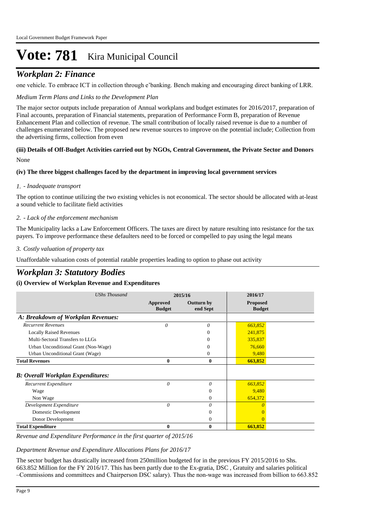# *Workplan 2: Finance*

one vehicle. To embrace ICT in collection through e'banking. Bench making and encouraging direct banking of LRR.

#### *Medium Term Plans and Links to the Development Plan*

The major sector outputs include preparation of Annual workplans and budget estimates for 2016/2017, preparation of Final accounts, preparation of Financial statements, preparation of Performance Form B, preparation of Revenue Enhancement Plan and collection of revenue. The small contribution of locally raised revenue is due to a number of challenges enumerated below. The proposed new revenue sources to improve on the potential include; Collection from the advertising firms, collection from even

#### None **(iii) Details of Off-Budget Activities carried out by NGOs, Central Government, the Private Sector and Donors**

#### **(iv) The three biggest challenges faced by the department in improving local government services**

#### *- Inadequate transport 1.*

The option to continue utilizing the two existing vehicles is not economical. The sector should be allocated with at-least a sound vehicle to facilitate field activities

#### *- Lack of the enforcement mechanism 2.*

The Municipality lacks a Law Enforcement Officers. The taxes are direct by nature resulting into resistance for the tax payers. To improve performance these defaulters need to be forced or compelled to pay using the legal means

#### *Costly valuation of property tax 3.*

Unaffordable valuation costs of potential ratable properties leading to option to phase out activity

# *Workplan 3: Statutory Bodies*

#### **(i) Overview of Workplan Revenue and Expenditures**

| <b>UShs Thousand</b>                     | 2015/16                   |                               | 2016/17                          |
|------------------------------------------|---------------------------|-------------------------------|----------------------------------|
|                                          | Approved<br><b>Budget</b> | <b>Outturn by</b><br>end Sept | <b>Proposed</b><br><b>Budget</b> |
| A: Breakdown of Workplan Revenues:       |                           |                               |                                  |
| <b>Recurrent Revenues</b>                | $\theta$                  | 0                             | 663,852                          |
| <b>Locally Raised Revenues</b>           |                           | $\Omega$                      | 241,875                          |
| Multi-Sectoral Transfers to LLGs         |                           | $\Omega$                      | 335,837                          |
| Urban Unconditional Grant (Non-Wage)     |                           | $\Omega$                      | 76,660                           |
| Urban Unconditional Grant (Wage)         |                           | $\Omega$                      | 9,480                            |
| <b>Total Revenues</b>                    | $\bf{0}$                  | $\bf{0}$                      | 663,852                          |
| <b>B: Overall Workplan Expenditures:</b> |                           |                               |                                  |
| Recurrent Expenditure                    | 0                         | $\theta$                      | 663,852                          |
| Wage                                     |                           | $\theta$                      | 9,480                            |
| Non Wage                                 |                           | $\mathbf{0}$                  | 654,372                          |
| Development Expenditure                  | $\theta$                  | $\theta$                      |                                  |
| Domestic Development                     |                           | $\theta$                      |                                  |
| Donor Development                        |                           | $\mathbf{0}$                  | $\Omega$                         |
| <b>Total Expenditure</b>                 | 0                         | $\bf{0}$                      | 663,852                          |

#### *Revenue and Expenditure Performance in the first quarter of 2015/16*

#### *Department Revenue and Expenditure Allocations Plans for 2016/17*

The sector budget has drastically increased from 250million budgeted for in the previous FY 2015/2016 to Shs. 663.852 Million for the FY 2016/17. This has been partly due to the Ex-gratia, DSC , Gratuity and salaries political –Commissions and committees and Chairperson DSC salary). Thus the non-wage was increased from billion to 663.852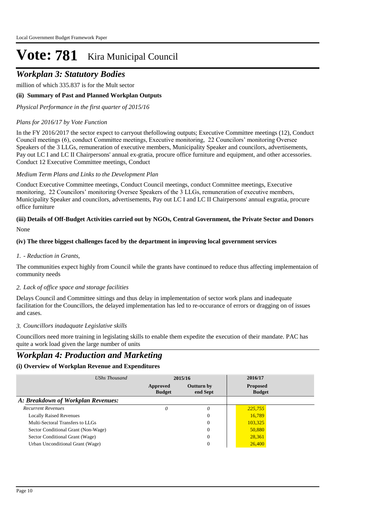# *Workplan 3: Statutory Bodies*

million of which 335.837 is for the Mult sector

## **(ii) Summary of Past and Planned Workplan Outputs**

*Physical Performance in the first quarter of 2015/16*

## *Plans for 2016/17 by Vote Function*

In the FY 2016/2017 the sector expect to carryout thefollowing outputs; Executive Committee meetings (12), Conduct Council meetings (6), conduct Committee meetings, Executive monitoring, 22 Councilors' monitoring Oversee Speakers of the 3 LLGs, remuneration of executive members, Municipality Speaker and councilors, advertisements, Pay out LC I and LC II Chairpersons' annual ex-gratia, procure office furniture and equipment, and other accessories. Conduct 12 Executive Committee meetings, Conduct

## *Medium Term Plans and Links to the Development Plan*

Conduct Executive Committee meetings, Conduct Council meetings, conduct Committee meetings, Executive monitoring, 22 Councilors' monitoring Oversee Speakers of the 3 LLGs, remuneration of executive members, Municipality Speaker and councilors, advertisements, Pay out LC I and LC II Chairpersons' annual exgratia, procure office furniture

#### None **(iii) Details of Off-Budget Activities carried out by NGOs, Central Government, the Private Sector and Donors**

## **(iv) The three biggest challenges faced by the department in improving local government services**

## *- Reduction in Grants, 1.*

The communities expect highly from Council while the grants have continued to reduce thus affecting implementaion of community needs

## *Lack of office space and storage facilities 2.*

Delays Council and Committee sittings and thus delay in implementation of sector work plans and inadequate facilitation for the Councillors, the delayed implementation has led to re-occurance of errors or dragging on of issues and cases.

### *Councillors inadaquate Legislative skills 3.*

Councillors need more training in legislating skills to enable them expedite the execution of their mandate. PAC has quite a work load given the large number of units

# *Workplan 4: Production and Marketing*

## **(i) Overview of Workplan Revenue and Expenditures**

| UShs Thousand                       | 2015/16                   |                               | 2016/17                          |  |
|-------------------------------------|---------------------------|-------------------------------|----------------------------------|--|
|                                     | Approved<br><b>Budget</b> | <b>Outturn by</b><br>end Sept | <b>Proposed</b><br><b>Budget</b> |  |
| A: Breakdown of Workplan Revenues:  |                           |                               |                                  |  |
| <b>Recurrent Revenues</b>           |                           | 0                             | 225,755                          |  |
| <b>Locally Raised Revenues</b>      |                           | 0                             | 16,789                           |  |
| Multi-Sectoral Transfers to LLGs    |                           | $\theta$                      | 103,325                          |  |
| Sector Conditional Grant (Non-Wage) |                           | 0                             | 50,880                           |  |
| Sector Conditional Grant (Wage)     |                           | $\theta$                      | 28,361                           |  |
| Urban Unconditional Grant (Wage)    |                           | 0                             | 26,400                           |  |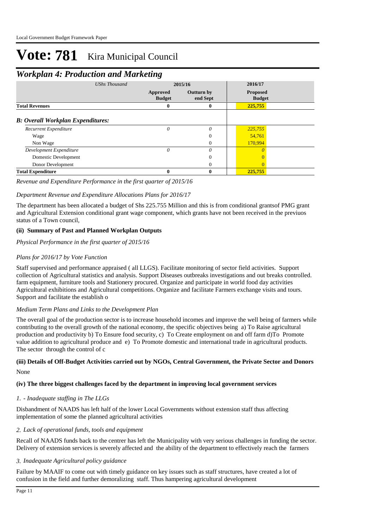# *Workplan 4: Production and Marketing*

|                                          |                      | o                         |                               |                                  |  |
|------------------------------------------|----------------------|---------------------------|-------------------------------|----------------------------------|--|
|                                          | <b>UShs Thousand</b> | 2015/16                   |                               | 2016/17                          |  |
|                                          |                      | Approved<br><b>Budget</b> | <b>Outturn by</b><br>end Sept | <b>Proposed</b><br><b>Budget</b> |  |
| <b>Total Revenues</b>                    |                      | 0                         | 0                             | 225,755                          |  |
| <b>B: Overall Workplan Expenditures:</b> |                      |                           |                               |                                  |  |
| Recurrent Expenditure                    |                      | 0                         | $\theta$                      | 225,755                          |  |
| Wage                                     |                      |                           | $\Omega$                      | 54,761                           |  |
| Non Wage                                 |                      |                           | 0                             | 170,994                          |  |
| Development Expenditure                  |                      | $\theta$                  | $\theta$                      |                                  |  |
| Domestic Development                     |                      |                           | 0                             |                                  |  |
| Donor Development                        |                      |                           | 0                             |                                  |  |
| <b>Total Expenditure</b>                 |                      | 0                         | 0                             | 225,755                          |  |

### *Revenue and Expenditure Performance in the first quarter of 2015/16*

## *Department Revenue and Expenditure Allocations Plans for 2016/17*

The department has been allocated a budget of Shs 225.755 Million and this is from conditional grantsof PMG grant and Agricultural Extension conditional grant wage component, which grants have not been received in the previuos status of a Town council,

## **(ii) Summary of Past and Planned Workplan Outputs**

*Physical Performance in the first quarter of 2015/16*

## *Plans for 2016/17 by Vote Function*

Staff supervised and performance appraised ( all LLGS). Facilitate monitoring of sector field activities. Support collection of Agricultural statistics and analysis. Support Diseases outbreaks investigations and out breaks controlled. farm equipment, furniture tools and Stationery procured. Organize and participate in world food day activities Agricultural exhibitions and Agricultural competitions. Organize and facilitate Farmers exchange visits and tours. Support and facilitate the establish o

### *Medium Term Plans and Links to the Development Plan*

The overall goal of the production sector is to increase household incomes and improve the well being of farmers while contributing to the overall growth of the national economy, the specific objectives being a) To Raise agricultural production and productivity b) To Ensure food security, c) To Create employment on and off farm d)To Promote value addition to agricultural produce and e) To Promote domestic and international trade in agricultural products. The sector through the control of c

#### None **(iii) Details of Off-Budget Activities carried out by NGOs, Central Government, the Private Sector and Donors**

### **(iv) The three biggest challenges faced by the department in improving local government services**

### *- Inadequate staffing in The LLGs 1.*

Disbandment of NAADS has left half of the lower Local Governments without extension staff thus affecting implementation of some the planned agricultural activities

### *Lack of operational funds, tools and equipment 2.*

Recall of NAADS funds back to the centrer has left the Municipality with very serious challenges in funding the sector. Delivery of extension services is severely affected and the ability of the department to effectively reach the farmers

### *Inadequate Agricultural policy guidance 3.*

Failure by MAAIF to come out with timely guidance on key issues such as staff structures, have created a lot of confusion in the field and further demoralizing staff. Thus hampering agricultural development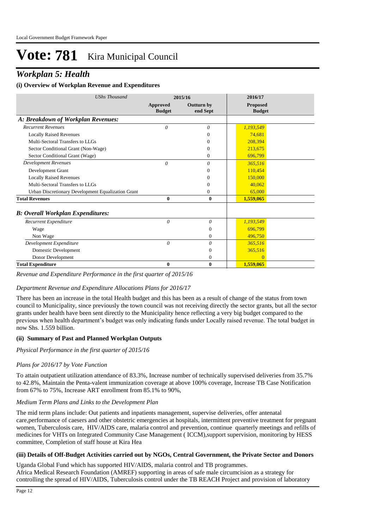# *Workplan 5: Health*

#### **(i) Overview of Workplan Revenue and Expenditures**

| <b>UShs Thousand</b>                               |                           | 2015/16                       | 2016/17                          |  |
|----------------------------------------------------|---------------------------|-------------------------------|----------------------------------|--|
|                                                    | Approved<br><b>Budget</b> | <b>Outturn by</b><br>end Sept | <b>Proposed</b><br><b>Budget</b> |  |
| A: Breakdown of Workplan Revenues:                 |                           |                               |                                  |  |
| <b>Recurrent Revenues</b>                          | $\theta$                  | 0                             | 1,193,549                        |  |
| <b>Locally Raised Revenues</b>                     |                           | 0                             | 74,681                           |  |
| Multi-Sectoral Transfers to LLGs                   |                           | 0                             | 208.394                          |  |
| Sector Conditional Grant (Non-Wage)                |                           | 0                             | 213,675                          |  |
| Sector Conditional Grant (Wage)                    |                           | 0                             | 696,799                          |  |
| <b>Development Revenues</b>                        | $\theta$                  | 0                             | 365,516                          |  |
| Development Grant                                  |                           | 0                             | 110,454                          |  |
| <b>Locally Raised Revenues</b>                     |                           | 0                             | 150,000                          |  |
| Multi-Sectoral Transfers to LLGs                   |                           | 0                             | 40.062                           |  |
| Urban Discretionary Development Equalization Grant |                           | 0                             | 65,000                           |  |
| <b>Total Revenues</b>                              | $\bf{0}$                  | $\mathbf{0}$                  | 1,559,065                        |  |
| <b>B: Overall Workplan Expenditures:</b>           |                           |                               |                                  |  |
| Recurrent Expenditure                              | $\theta$                  | $\theta$                      | 1,193,549                        |  |
| Wage                                               |                           | $\overline{0}$                | 696,799                          |  |
| Non Wage                                           |                           | $\mathbf{0}$                  | 496,750                          |  |
| Development Expenditure                            | $\theta$                  | $\theta$                      | 365,516                          |  |
| Domestic Development                               |                           | $\Omega$                      | 365,516                          |  |
| Donor Development                                  |                           | $\Omega$                      | $\Omega$                         |  |
| <b>Total Expenditure</b>                           | $\bf{0}$                  | $\bf{0}$                      | 1,559,065                        |  |

*Revenue and Expenditure Performance in the first quarter of 2015/16*

#### *Department Revenue and Expenditure Allocations Plans for 2016/17*

There has been an increase in the total Health budget and this has been as a result of change of the status from town council to Municipality, since previously the town council was not receiving directly the sector grants, but all the sector grants under health have been sent directly to the Municipality hence reflecting a very big budget compared to the previous when health department's budget was only indicating funds under Locally raised revenue. The total budget in now Shs. 1.559 billion.

#### **(ii) Summary of Past and Planned Workplan Outputs**

### *Physical Performance in the first quarter of 2015/16*

### *Plans for 2016/17 by Vote Function*

To attain outpatient utilization attendance of 83.3%, Increase number of technically supervised deliveries from 35.7% to 42.8%, Maintain the Penta-valent immunization coverage at above 100% coverage, Increase TB Case Notification from 67% to 75%, Increase ART enrollment from 85.1% to 90%,

### *Medium Term Plans and Links to the Development Plan*

The mid term plans include: Out patients and inpatients management, supervise deliveries, offer antenatal care,performance of caesers and other obstetric emergencies at hospitals, intermittent preventive treatment for pregnant women, Tuberculosis care, HIV/AIDS care, malaria control and prevention, continue quarterly meetings and refills of medicines for VHTs on Integrated Community Case Management ( ICCM),support supervision, monitoring by HESS committee, Completion of staff house at Kira Hea

### **(iii) Details of Off-Budget Activities carried out by NGOs, Central Government, the Private Sector and Donors**

Uganda Global Fund which has supported HIV/AIDS, malaria control and TB programmes. Africa Medical Research Foundation (AMREF) supporting in areas of safe male circumcision as a strategy for controlling the spread of HIV/AIDS, Tuberculosis control under the TB REACH Project and provision of laboratory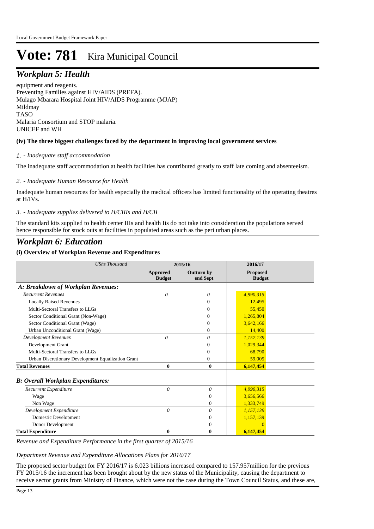# *Workplan 5: Health*

equipment and reagents. Preventing Families against HIV/AIDS (PREFA). Mulago Mbarara Hospital Joint HIV/AIDS Programme (MJAP) Mildmay TASO Malaria Consortium and STOP malaria. UNICEF and WH

#### **(iv) The three biggest challenges faced by the department in improving local government services**

#### *- Inadequate staff accommodation 1.*

The inadequate staff accommodation at health facilities has contributed greatly to staff late coming and absenteeism.

#### *- Inadequate Human Resource for Health 2.*

Inadequate human resources for health especially the medical officers has limited functionality of the operating theatres at H/IVs.

#### *- Inadequate supplies delivered to H/CIIIs and H/CII 3.*

The standard kits supplied to health center IIIs and health Iis do not take into consideration the populations served hence responsible for stock outs at facilities in populated areas such as the peri urban places.

# *Workplan 6: Education*

#### **(i) Overview of Workplan Revenue and Expenditures**

| <b>UShs Thousand</b>                               |                           | 2015/16                       | 2016/17                          |  |
|----------------------------------------------------|---------------------------|-------------------------------|----------------------------------|--|
|                                                    | Approved<br><b>Budget</b> | <b>Outturn by</b><br>end Sept | <b>Proposed</b><br><b>Budget</b> |  |
| A: Breakdown of Workplan Revenues:                 |                           |                               |                                  |  |
| <b>Recurrent Revenues</b>                          | $\theta$                  | 0                             | 4,990,315                        |  |
| <b>Locally Raised Revenues</b>                     |                           | 0                             | 12,495                           |  |
| Multi-Sectoral Transfers to LLGs                   |                           | 0                             | 55,450                           |  |
| Sector Conditional Grant (Non-Wage)                |                           | 0                             | 1,265,804                        |  |
| Sector Conditional Grant (Wage)                    |                           | 0                             | 3,642,166                        |  |
| Urban Unconditional Grant (Wage)                   |                           | 0                             | 14,400                           |  |
| <b>Development Revenues</b>                        | $\theta$                  | 0                             | 1,157,139                        |  |
| Development Grant                                  |                           | 0                             | 1,029,344                        |  |
| Multi-Sectoral Transfers to LLGs                   |                           | 0                             | 68,790                           |  |
| Urban Discretionary Development Equalization Grant |                           | 0                             | 59,005                           |  |
| <b>Total Revenues</b>                              | $\bf{0}$                  | $\bf{0}$                      | 6,147,454                        |  |
| <b>B: Overall Workplan Expenditures:</b>           |                           |                               |                                  |  |
| Recurrent Expenditure                              | $\theta$                  | $\theta$                      | 4,990,315                        |  |
| Wage                                               |                           | $\Omega$                      | 3,656,566                        |  |
| Non Wage                                           |                           | $\mathbf{0}$                  | 1,333,749                        |  |
| Development Expenditure                            | 0                         | $\theta$                      | 1,157,139                        |  |
| <b>Domestic Development</b>                        |                           | $\Omega$                      | 1,157,139                        |  |
| Donor Development                                  |                           | $\mathbf{0}$                  | $\Omega$                         |  |
| <b>Total Expenditure</b>                           | $\mathbf{0}$              | $\bf{0}$                      | 6,147,454                        |  |

*Revenue and Expenditure Performance in the first quarter of 2015/16*

*Department Revenue and Expenditure Allocations Plans for 2016/17*

The proposed sector budget for FY 2016/17 is 6.023 billions increased compared to 157.957million for the previous FY 2015/16 the increment has been brought about by the new status of the Municipality, causing the department to receive sector grants from Ministry of Finance, which were not the case during the Town Council Status, and these are,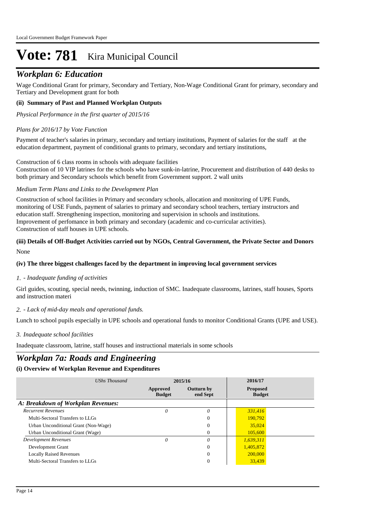# *Workplan 6: Education*

Wage Conditional Grant for primary, Secondary and Tertiary, Non-Wage Conditional Grant for primary, secondary and Tertiary and Development grant for both

#### **(ii) Summary of Past and Planned Workplan Outputs**

*Physical Performance in the first quarter of 2015/16*

#### *Plans for 2016/17 by Vote Function*

Payment of teacher's salaries in primary, secondary and tertiary institutions, Payment of salaries for the staff at the education department, payment of conditional grants to primary, secondary and tertiary institutions,

Construction of 6 class rooms in schools with adequate facilities

Construction of 10 VIP latrines for the schools who have sunk-in-latrine, Procurement and distribution of 440 desks to both primary and Secondary schools which benefit from Government support. 2 wall units

#### *Medium Term Plans and Links to the Development Plan*

Construction of school facilities in Primary and secondary schools, allocation and monitoring of UPE Funds, monitoring of USE Funds, payment of salaries to primary and secondary school teachers, tertiary instructors and education staff. Strengthening inspection, monitoring and supervision in schools and institutions. Improvement of perfomance in both primary and secondary (academic and co-curricular activities). Construction of staff houses in UPE schools.

#### None **(iii) Details of Off-Budget Activities carried out by NGOs, Central Government, the Private Sector and Donors**

#### **(iv) The three biggest challenges faced by the department in improving local government services**

#### *- Inadequate funding of activities 1.*

Girl guides, scouting, special needs, twinning, induction of SMC. Inadequate classrooms, latrines, staff houses, Sports and instruction materi

#### *- Lack of mid-day meals and operational funds. 2.*

Lunch to school pupils especially in UPE schools and operational funds to monitor Conditional Grants (UPE and USE).

#### *Inadequate school facilities 3.*

Inadequate classroom, latrine, staff houses and instructional materials in some schools

# *Workplan 7a: Roads and Engineering*

#### **(i) Overview of Workplan Revenue and Expenditures**

| UShs Thousand                        |                           | 2015/16                       | 2016/17                          |  |
|--------------------------------------|---------------------------|-------------------------------|----------------------------------|--|
|                                      | Approved<br><b>Budget</b> | <b>Outturn by</b><br>end Sept | <b>Proposed</b><br><b>Budget</b> |  |
| A: Breakdown of Workplan Revenues:   |                           |                               |                                  |  |
| <b>Recurrent Revenues</b>            | 0                         | $\theta$                      | 331,416                          |  |
| Multi-Sectoral Transfers to LLGs     |                           | $\mathbf{0}$                  | 190,792                          |  |
| Urban Unconditional Grant (Non-Wage) |                           | $\Omega$                      | 35,024                           |  |
| Urban Unconditional Grant (Wage)     |                           | $\Omega$                      | 105,600                          |  |
| <b>Development Revenues</b>          | $\theta$                  | $\theta$                      | 1,639,311                        |  |
| Development Grant                    |                           | $\mathbf{0}$                  | 1,405,872                        |  |
| <b>Locally Raised Revenues</b>       |                           | $\mathbf{0}$                  | 200,000                          |  |
| Multi-Sectoral Transfers to LLGs     |                           | $\theta$                      | 33,439                           |  |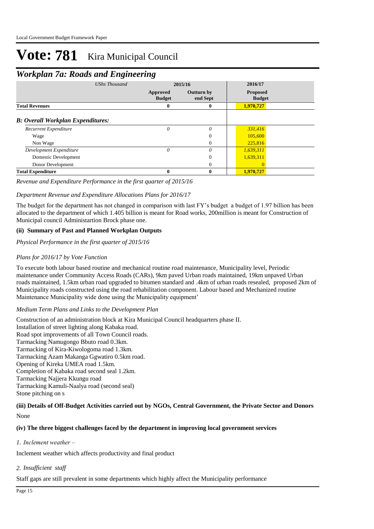# *Workplan 7a: Roads and Engineering*

|                                          | ີ<br><b>UShs Thousand</b> | ີ                         | 2015/16                       | 2016/17                          |  |
|------------------------------------------|---------------------------|---------------------------|-------------------------------|----------------------------------|--|
|                                          |                           | Approved<br><b>Budget</b> | <b>Outturn by</b><br>end Sept | <b>Proposed</b><br><b>Budget</b> |  |
| <b>Total Revenues</b>                    |                           | 0                         | 0                             | 1,970,727                        |  |
| <b>B: Overall Workplan Expenditures:</b> |                           |                           |                               |                                  |  |
| Recurrent Expenditure                    |                           | 0                         | $\theta$                      | 331,416                          |  |
| Wage                                     |                           |                           | $\Omega$                      | 105,600                          |  |
| Non Wage                                 |                           |                           | $\Omega$                      | 225,816                          |  |
| Development Expenditure                  |                           | $\theta$                  | $\theta$                      | 1,639,311                        |  |
| Domestic Development                     |                           |                           | $\Omega$                      | 1,639,311                        |  |
| Donor Development                        |                           |                           | $\Omega$                      |                                  |  |
| <b>Total Expenditure</b>                 |                           | 0                         | 0                             | 1,970,727                        |  |

#### *Revenue and Expenditure Performance in the first quarter of 2015/16*

#### *Department Revenue and Expenditure Allocations Plans for 2016/17*

The budget for the department has not changed in comparison with last FY's budget a budget of 1.97 billion has been allocated to the department of which 1.405 billion is meant for Road works, 200million is meant for Construction of Municipal council Administartion Brock phase one.

#### **(ii) Summary of Past and Planned Workplan Outputs**

*Physical Performance in the first quarter of 2015/16*

#### *Plans for 2016/17 by Vote Function*

To execute both labour based routine and mechanical routine road maintenance, Municipality level, Periodic maintenance under Community Access Roads (CARs), 9km paved Urban roads maintained, 19km unpaved Urban roads maintained, 1.5km urban road upgraded to bitumen standard and .4km of urban roads resealed, proposed 2km of Municipality roads constructed using the road rehabilitation component. Labour based and Mechanized routine Maintenance Municipality wide done using the Municipality equipment'

#### *Medium Term Plans and Links to the Development Plan*

Construction of an administration block at Kira Municipal Council headquarters phase II. Installation of street lighting along Kabaka road. Road spot improvements of all Town Council roads. Tarmacking Namugongo Bbuto road 0.3km. Tarmacking of Kira-Kiwologoma road 1.3km. Tarmacking Azam Makanga Ggwatiro 0.5km road. Opening of Kireka UMEA road 1.5km. Completion of Kabaka road second seal 1.2km. Tarmacking Najjera Kkungu road Tarmacking Kamuli-Naalya road (second seal) Stone pitching on s

#### None **(iii) Details of Off-Budget Activities carried out by NGOs, Central Government, the Private Sector and Donors**

#### **(iv) The three biggest challenges faced by the department in improving local government services**

*Inclement weather – 1.*

Inclement weather which affects productivity and final product

*Insufficient staff 2.*

Staff gaps are still prevalent in some departments which highly affect the Municipality performance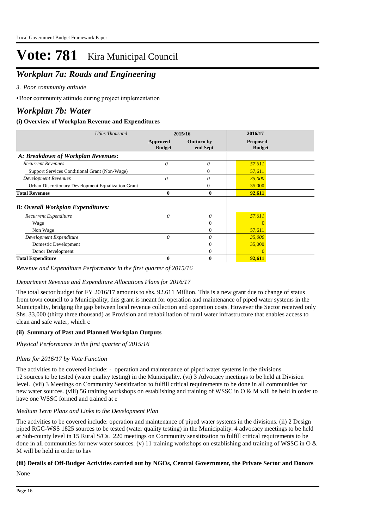# *Workplan 7a: Roads and Engineering*

*Poor community attitude 3.*

• Poor community attitude during project implementation

# *Workplan 7b: Water*

### **(i) Overview of Workplan Revenue and Expenditures**

| <b>UShs Thousand</b>                               | 2015/16                   |                               | 2016/17                          |  |
|----------------------------------------------------|---------------------------|-------------------------------|----------------------------------|--|
|                                                    | Approved<br><b>Budget</b> | <b>Outturn by</b><br>end Sept | <b>Proposed</b><br><b>Budget</b> |  |
| A: Breakdown of Workplan Revenues:                 |                           |                               |                                  |  |
| <b>Recurrent Revenues</b>                          | 0                         | 0                             | 57,611                           |  |
| Support Services Conditional Grant (Non-Wage)      |                           | 0                             | 57,611                           |  |
| <b>Development Revenues</b>                        | 0                         | 0                             | 35,000                           |  |
| Urban Discretionary Development Equalization Grant |                           | 0                             | 35,000                           |  |
| <b>Total Revenues</b>                              | 0                         | 0                             | 92,611                           |  |
| <b>B: Overall Workplan Expenditures:</b>           |                           |                               |                                  |  |
| Recurrent Expenditure                              | 0                         | 0                             | 57,611                           |  |
| Wage                                               |                           | 0                             |                                  |  |
| Non Wage                                           |                           | $\Omega$                      | 57,611                           |  |
| Development Expenditure                            | $\theta$                  | 0                             | 35,000                           |  |
| Domestic Development                               |                           | $\theta$                      | 35,000                           |  |
| Donor Development                                  |                           | $\Omega$                      | $\Omega$                         |  |
| <b>Total Expenditure</b>                           | 0                         | $\bf{0}$                      | 92,611                           |  |

*Revenue and Expenditure Performance in the first quarter of 2015/16*

## *Department Revenue and Expenditure Allocations Plans for 2016/17*

The total sector budget for FY 2016/17 amounts to shs. 92.611 Million. This is a new grant due to change of status from town council to a Municipality, this grant is meant for operation and maintenance of piped water systems in the Municipality, bridging the gap between local revenue collection and operation costs. However the Sector received only Shs. 33,000 (thirty three thousand) as Provision and rehabilitation of rural water infrastructure that enables access to clean and safe water, which c

### **(ii) Summary of Past and Planned Workplan Outputs**

*Physical Performance in the first quarter of 2015/16*

## *Plans for 2016/17 by Vote Function*

The activities to be covered include: - operation and maintenance of piped water systems in the divisions 12 sources to be tested (water quality testing) in the Municipality. (vi) 3 Advocacy meetings to be held at Division level. (vii) 3 Meetings on Community Sensitization to fulfill critical requirements to be done in all communities for new water sources. (viii) 56 training workshops on establishing and training of WSSC in O & M will be held in order to have one WSSC formed and trained at e

### *Medium Term Plans and Links to the Development Plan*

The activities to be covered include: operation and maintenance of piped water systems in the divisions. (ii) 2 Design piped RGC-WSS 1825 sources to be tested (water quality testing) in the Municipality. 4 advocacy meetings to be held at Sub-county level in 15 Rural S/Cs. 220 meetings on Community sensitization to fulfill critical requirements to be done in all communities for new water sources. (v) 11 training workshops on establishing and training of WSSC in O  $\&$ M will be held in order to hav

### None **(iii) Details of Off-Budget Activities carried out by NGOs, Central Government, the Private Sector and Donors**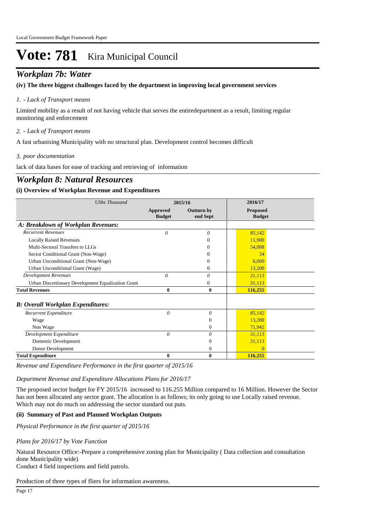# *Workplan 7b: Water*

#### **(iv) The three biggest challenges faced by the department in improving local government services**

#### *- Lack of Transport means 1.*

Limited mobility as a result of not having vehicle that serves the entiredepartment as a result, limiting regular monitoring and enforcement

*- Lack of Transport means 2.*

A fast urbanising Municipality with no structural plan. Development control becomes difficult

*poor documentation 3.*

lack of data bases for ease of tracking and retrieving of information

# *Workplan 8: Natural Resources*

#### **(i) Overview of Workplan Revenue and Expenditures**

| <b>UShs Thousand</b>                               | 2015/16                   |                               | 2016/17                          |  |
|----------------------------------------------------|---------------------------|-------------------------------|----------------------------------|--|
|                                                    | Approved<br><b>Budget</b> | <b>Outturn by</b><br>end Sept | <b>Proposed</b><br><b>Budget</b> |  |
| A: Breakdown of Workplan Revenues:                 |                           |                               |                                  |  |
| <b>Recurrent Revenues</b>                          | $\theta$                  | 0                             | 85,142                           |  |
| <b>Locally Raised Revenues</b>                     |                           | 0                             | 11,900                           |  |
| Multi-Sectoral Transfers to LLGs                   |                           | $_{0}$                        | 54,008                           |  |
| Sector Conditional Grant (Non-Wage)                |                           |                               | 34                               |  |
| Urban Unconditional Grant (Non-Wage)               |                           | $_{0}$                        | 6,000                            |  |
| Urban Unconditional Grant (Wage)                   |                           | 0                             | 13,200                           |  |
| <b>Development Revenues</b>                        | $\theta$                  | 0                             | 31,113                           |  |
| Urban Discretionary Development Equalization Grant |                           | 0                             | 31,113                           |  |
| <b>Total Revenues</b>                              | 0                         | $\mathbf{0}$                  | 116,255                          |  |
| <b>B</b> : Overall Workplan Expenditures:          |                           |                               |                                  |  |
| Recurrent Expenditure                              | $\theta$                  | 0                             | 85,142                           |  |
| Wage                                               |                           | $\mathbf{0}$                  | 13,200                           |  |
| Non Wage                                           |                           | $\mathbf{0}$                  | 71,942                           |  |
| Development Expenditure                            | $\theta$                  | 0                             | 31,113                           |  |
| Domestic Development                               |                           | $\Omega$                      | 31,113                           |  |
| Donor Development                                  |                           | $\theta$                      |                                  |  |
| <b>Total Expenditure</b>                           | 0                         | $\bf{0}$                      | 116,255                          |  |

*Revenue and Expenditure Performance in the first quarter of 2015/16*

*Department Revenue and Expenditure Allocations Plans for 2016/17*

The proposed sector budget for FY 2015/16 increased to 116.255 Million compared to 16 Million. However the Sector has not been allocated any sector grant. The allocation is as follows; its only going to use Locally raised revenue. Which may not do much on addressing the sector standard out puts.

#### **(ii) Summary of Past and Planned Workplan Outputs**

*Physical Performance in the first quarter of 2015/16*

#### *Plans for 2016/17 by Vote Function*

Natural Resource Office:-Prepare a comprehensive zoning plan for Municipality (Data collection and consultation done Municipality wide)

Conduct 4 field inspections and field patrols.

Production of three types of fliers for information awareness.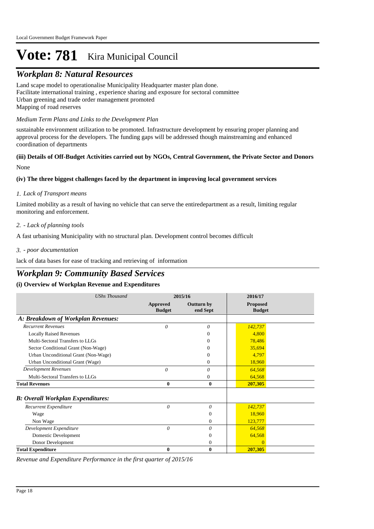# *Workplan 8: Natural Resources*

Land scape model to operationalise Municipality Headquarter master plan done. Facilitate international training , experience sharing and exposure for sectoral committee Urban greening and trade order management promoted Mapping of road reserves

#### *Medium Term Plans and Links to the Development Plan*

sustainable environment utilization to be promoted. Infrastructure development by ensuring proper planning and approval process for the developers. The funding gaps will be addressed though mainstreaming and enhanced coordination of departments

#### None **(iii) Details of Off-Budget Activities carried out by NGOs, Central Government, the Private Sector and Donors**

#### **(iv) The three biggest challenges faced by the department in improving local government services**

#### *Lack of Transport means 1.*

Limited mobility as a result of having no vehicle that can serve the entiredepartment as a result, limiting regular monitoring and enforcement.

#### *- Lack of planning tools 2.*

A fast urbanising Municipality with no structural plan. Development control becomes difficult

#### *- poor documentation 3.*

lack of data bases for ease of tracking and retrieving of information

# *Workplan 9: Community Based Services*

#### **(i) Overview of Workplan Revenue and Expenditures**

| <b>UShs Thousand</b>                     | 2015/16                   |                               | 2016/17                          |  |
|------------------------------------------|---------------------------|-------------------------------|----------------------------------|--|
|                                          | Approved<br><b>Budget</b> | <b>Outturn by</b><br>end Sept | <b>Proposed</b><br><b>Budget</b> |  |
| A: Breakdown of Workplan Revenues:       |                           |                               |                                  |  |
| <b>Recurrent Revenues</b>                | $\theta$                  | $\theta$                      | 142,737                          |  |
| <b>Locally Raised Revenues</b>           |                           | 0                             | 4,800                            |  |
| Multi-Sectoral Transfers to LLGs         |                           | 0                             | 78,486                           |  |
| Sector Conditional Grant (Non-Wage)      |                           | $\Omega$                      | 35,694                           |  |
| Urban Unconditional Grant (Non-Wage)     |                           | $^{(1)}$                      | 4,797                            |  |
| Urban Unconditional Grant (Wage)         |                           | $\Omega$                      | 18,960                           |  |
| <b>Development Revenues</b>              | 0                         | 0                             | 64,568                           |  |
| Multi-Sectoral Transfers to LLGs         |                           | $\Omega$                      | 64,568                           |  |
| <b>Total Revenues</b>                    | $\bf{0}$                  | $\bf{0}$                      | 207,305                          |  |
| <b>B: Overall Workplan Expenditures:</b> |                           |                               |                                  |  |
| Recurrent Expenditure                    | 0                         | 0                             | 142,737                          |  |
| Wage                                     |                           | $\mathbf{0}$                  | 18,960                           |  |
| Non Wage                                 |                           | $\Omega$                      | 123,777                          |  |
| Development Expenditure                  | $\theta$                  | $\theta$                      | 64,568                           |  |
| Domestic Development                     |                           | $\theta$                      | 64,568                           |  |
| Donor Development                        |                           | $\mathbf{0}$                  |                                  |  |
| <b>Total Expenditure</b>                 | $\bf{0}$                  | $\bf{0}$                      | 207,305                          |  |

*Revenue and Expenditure Performance in the first quarter of 2015/16*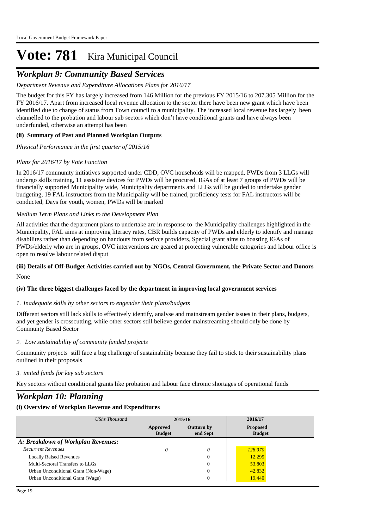# *Workplan 9: Community Based Services*

## *Department Revenue and Expenditure Allocations Plans for 2016/17*

The budget for this FY has largely increased from 146 Million for the previous FY 2015/16 to 207.305 Million for the FY 2016/17. Apart from increased local revenue allocation to the sector there have been new grant which have been identified due to change of status from Town council to a municipality. The increased local revenue has largely been channelled to the probation and labour sub sectors which don't have conditional grants and have always been underfunded, otherwise an attempt has been

## **(ii) Summary of Past and Planned Workplan Outputs**

*Physical Performance in the first quarter of 2015/16*

## *Plans for 2016/17 by Vote Function*

In 2016/17 community initiatives supported under CDD, OVC households will be mapped, PWDs from 3 LLGs will undergo skills training, 11 assistive devices for PWDs will be procured, IGAs of at least 7 groups of PWDs will be financially supported Municipality wide, Municipality departments and LLGs will be guided to undertake gender budgeting, 19 FAL instructors from the Municipality will be trained, proficiency tests for FAL instructors will be conducted, Days for youth, women, PWDs will be marked

### *Medium Term Plans and Links to the Development Plan*

All activities that the department plans to undertake are in response to the Municipality challenges highlighted in the Municipality, FAL aims at improving literacy rates, CBR builds capacity of PWDs and elderly to identify and manage disabilites rather than depending on handouts from serivce providers, Special grant aims to boasting IGAs of PWDs/elderly who are in groups, OVC interventions are geared at protecting vulnerable catogories and labour office is open to resolve labour related disput

#### None **(iii) Details of Off-Budget Activities carried out by NGOs, Central Government, the Private Sector and Donors**

### **(iv) The three biggest challenges faced by the department in improving local government services**

### *Inadequate skills by other sectors to engender their plans/budgets 1.*

Different sectors still lack skills to effectively identify, analyse and mainstream gender issues in their plans, budgets, and yet gender is crosscutting, while other sectors still believe gender mainstreaming should only be done by Communty Based Sector

### *Low sustainability of community funded projects 2.*

Community projects still face a big challenge of sustainability because they fail to stick to their sustainability plans outlined in their proposals

### *imited funds for key sub sectors 3.*

Key sectors without conditional grants like probation and labour face chronic shortages of operational funds

# *Workplan 10: Planning*

## **(i) Overview of Workplan Revenue and Expenditures**

| UShs Thousand                        | 2015/16                   |                        | 2016/17                          |  |
|--------------------------------------|---------------------------|------------------------|----------------------------------|--|
|                                      | Approved<br><b>Budget</b> | Outturn by<br>end Sept | <b>Proposed</b><br><b>Budget</b> |  |
| A: Breakdown of Workplan Revenues:   |                           |                        |                                  |  |
| <b>Recurrent Revenues</b>            | 0                         | 0                      | 128,370                          |  |
| <b>Locally Raised Revenues</b>       |                           | 0                      | 12,295                           |  |
| Multi-Sectoral Transfers to LLGs     |                           | 0                      | 53,803                           |  |
| Urban Unconditional Grant (Non-Wage) |                           | 0                      | 42,832                           |  |
| Urban Unconditional Grant (Wage)     |                           | 0                      | 19,440                           |  |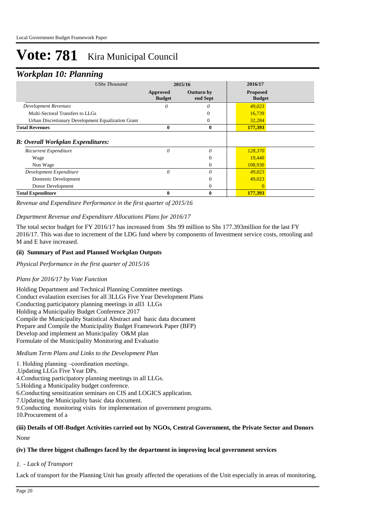## *Workplan 10: Planning*

| o                                                  |                           |                               |                                  |  |
|----------------------------------------------------|---------------------------|-------------------------------|----------------------------------|--|
| <b>UShs Thousand</b>                               | 2015/16                   |                               | 2016/17                          |  |
|                                                    | Approved<br><b>Budget</b> | <b>Outturn by</b><br>end Sept | <b>Proposed</b><br><b>Budget</b> |  |
| <b>Development Revenues</b>                        | 0                         | 0                             | 49,023                           |  |
| Multi-Sectoral Transfers to LLGs                   |                           | 0                             | 16,739                           |  |
| Urban Discretionary Development Equalization Grant |                           | 0                             | 32,284                           |  |
| <b>Total Revenues</b>                              | $\bf{0}$                  | $\bf{0}$                      | 177,393                          |  |
| <b>B: Overall Workplan Expenditures:</b>           |                           |                               |                                  |  |
| Recurrent Expenditure                              | 0                         | $\theta$                      | 128,370                          |  |
| Wage                                               |                           | $\overline{0}$                | 19,440                           |  |
| Non Wage                                           |                           | $\theta$                      | 108,930                          |  |
| Development Expenditure                            | 0                         | $\theta$                      | 49,023                           |  |
| Domestic Development                               |                           | $\Omega$                      | 49,023                           |  |
| Donor Development                                  |                           | $\mathbf{0}$                  |                                  |  |
| <b>Total Expenditure</b>                           | 0                         | $\mathbf{0}$                  | 177,393                          |  |

*Revenue and Expenditure Performance in the first quarter of 2015/16*

#### *Department Revenue and Expenditure Allocations Plans for 2016/17*

The total sector budget for FY 2016/17 has increased from Shs 99 million to Shs 177.393million for the last FY 2016/17. This was due to increment of the LDG fund where by components of Investment service costs, retooling and M and E have increased.

#### **(ii) Summary of Past and Planned Workplan Outputs**

*Physical Performance in the first quarter of 2015/16*

#### *Plans for 2016/17 by Vote Function*

Holding Department and Technical Planning Committee meetings Conduct evalaution exercises for all 3LLGs Five Year Development Plans Conducting participatory planning meetings in all3 LLGs Holding a Municipality Budget Conference 2017 Compile the Municipality Statistical Abstract and basic data document Prepare and Compile the Municipality Budget Framework Paper (BFP) Develop and implement an Municipality O&M plan Formulate of the Municipality Monitoring and Evaluatio

#### *Medium Term Plans and Links to the Development Plan*

- 1. Holding planning –coordination meetings.
- .Updating LLGs Five Year DPs.
- 4.Conducting participatory planning meetings in all LLGs.
- 5.Holding a Municipality budget conference.
- 6.Conducting sensitization seminars on CIS and LOGICS application.
- 7.Updating the Municipality basic data document.

9.Conducting monitoring visits for implementation of government programs.

10.Procurement of a

#### None **(iii) Details of Off-Budget Activities carried out by NGOs, Central Government, the Private Sector and Donors**

#### **(iv) The three biggest challenges faced by the department in improving local government services**

#### *- Lack of Transport 1.*

Lack of transport for the Planning Unit has greatly affected the operations of the Unit especially in areas of monitoring,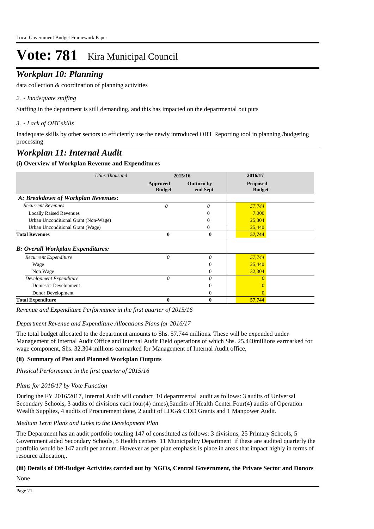# *Workplan 10: Planning*

data collection & coordination of planning activities

#### *- Inadequate staffing 2.*

Staffing in the department is still demanding, and this has impacted on the departmental out puts

#### *- Lack of OBT skills 3.*

Inadequate skills by other sectors to efficiently use the newly introduced OBT Reporting tool in planning /budgeting processing

# *Workplan 11: Internal Audit*

#### **(i) Overview of Workplan Revenue and Expenditures**

| <b>UShs Thousand</b>                     | 2015/16                   |                        | 2016/17                          |  |
|------------------------------------------|---------------------------|------------------------|----------------------------------|--|
|                                          | Approved<br><b>Budget</b> | Outturn by<br>end Sept | <b>Proposed</b><br><b>Budget</b> |  |
| A: Breakdown of Workplan Revenues:       |                           |                        |                                  |  |
| <b>Recurrent Revenues</b>                | 0                         | 0                      | 57,744                           |  |
| <b>Locally Raised Revenues</b>           |                           | 0                      | 7,000                            |  |
| Urban Unconditional Grant (Non-Wage)     |                           | 0                      | 25,304                           |  |
| Urban Unconditional Grant (Wage)         |                           | 0                      | 25,440                           |  |
| <b>Total Revenues</b>                    | 0                         | $\bf{0}$               | 57,744                           |  |
| <b>B: Overall Workplan Expenditures:</b> |                           |                        |                                  |  |
| Recurrent Expenditure                    | 0                         | 0                      | 57,744                           |  |
| Wage                                     |                           | $\theta$               | 25,440                           |  |
| Non Wage                                 |                           | $\Omega$               | 32,304                           |  |
| Development Expenditure                  | $\theta$                  | $\theta$               |                                  |  |
| Domestic Development                     |                           | 0                      |                                  |  |
| Donor Development                        |                           | $\theta$               | $\Omega$                         |  |
| <b>Total Expenditure</b>                 | 0                         | 0                      | 57,744                           |  |

*Revenue and Expenditure Performance in the first quarter of 2015/16*

#### *Department Revenue and Expenditure Allocations Plans for 2016/17*

The total budget allocated to the department amounts to Shs. 57.744 millions. These will be expended under Management of Internal Audit Office and Internal Audit Field operations of which Shs. 25.440millions earmarked for wage component, Shs. 32.304 millions earmarked for Management of Internal Audit office,

#### **(ii) Summary of Past and Planned Workplan Outputs**

*Physical Performance in the first quarter of 2015/16*

#### *Plans for 2016/17 by Vote Function*

During the FY 2016/2017, Internal Audit will conduct 10 departmental audit as follows: 3 audits of Universal Secondary Schools, 3 audits of divisions each four(4) times),5audits of Health Center.Four(4) audits of Operation Wealth Supplies, 4 audits of Procurement done, 2 audit of LDG& CDD Grants and 1 Manpower Audit.

#### *Medium Term Plans and Links to the Development Plan*

The Department has an audit portfolio totaling 147 of constituted as follows: 3 divisions, 25 Primary Schools, 5 Government aided Secondary Schools, 5 Health centers 11 Municipality Department if these are audited quarterly the portfolio would be 147 audit per annum. However as per plan emphasis is place in areas that impact highly in terms of resource allocation,.

#### **(iii) Details of Off-Budget Activities carried out by NGOs, Central Government, the Private Sector and Donors**

None